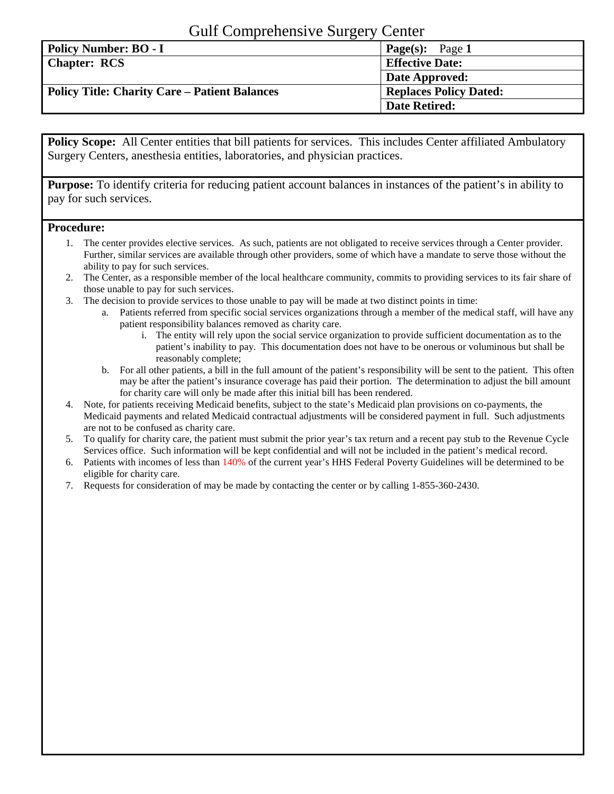## Gulf Comprehensive Surgery Center

| Policy Number: BO - I                                | <b>Page(s):</b> Page 1        |
|------------------------------------------------------|-------------------------------|
| <b>Chapter: RCS</b>                                  | <b>Effective Date:</b>        |
|                                                      | Date Approved:                |
| <b>Policy Title: Charity Care – Patient Balances</b> | <b>Replaces Policy Dated:</b> |
|                                                      | <b>Date Retired:</b>          |

**Policy Scope:** All Center entities that bill patients for services. This includes Center affiliated Ambulatory Surgery Centers, anesthesia entities, laboratories, and physician practices.

**Purpose:** To identify criteria for reducing patient account balances in instances of the patient's in ability to pay for such services.

## **Procedure:**

- 1. The center provides elective services. As such, patients are not obligated to receive services through a Center provider. Further, similar services are available through other providers, some of which have a mandate to serve those without the ability to pay for such services.
- 2. The Center, as a responsible member of the local healthcare community, commits to providing services to its fair share of those unable to pay for such services.
- 3. The decision to provide services to those unable to pay will be made at two distinct points in time:
	- a. Patients referred from specific social services organizations through a member of the medical staff, will have any patient responsibility balances removed as charity care.
		- i. The entity will rely upon the social service organization to provide sufficient documentation as to the patient's inability to pay. This documentation does not have to be onerous or voluminous but shall be reasonably complete;
	- b. For all other patients, a bill in the full amount of the patient's responsibility will be sent to the patient. This often may be after the patient's insurance coverage has paid their portion. The determination to adjust the bill amount for charity care will only be made after this initial bill has been rendered.
- 4. Note, for patients receiving Medicaid benefits, subject to the state's Medicaid plan provisions on co-payments, the Medicaid payments and related Medicaid contractual adjustments will be considered payment in full. Such adjustments are not to be confused as charity care.
- 5. To qualify for charity care, the patient must submit the prior year's tax return and a recent pay stub to the Revenue Cycle Services office. Such information will be kept confidential and will not be included in the patient's medical record.
- 6. Patients with incomes of less than 140% of the current year's HHS Federal Poverty Guidelines will be determined to be eligible for charity care.
- 7. Requests for consideration of may be made by contacting the center or by calling 1-855-360-2430.